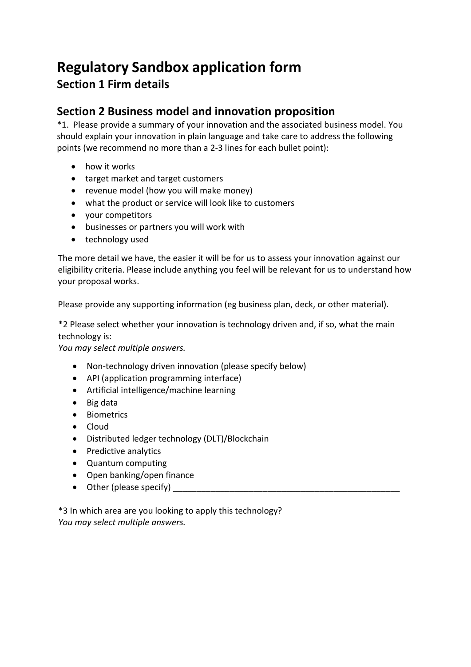# **Regulatory Sandbox application form Section 1 Firm details**

# **Section 2 Business model and innovation proposition**

\*1. Please provide a summary of your innovation and the associated business model. You should explain your innovation in plain language and take care to address the following points (we recommend no more than a 2-3 lines for each bullet point):

- how it works
- target market and target customers
- revenue model (how you will make money)
- what the product or service will look like to customers
- your competitors
- businesses or partners you will work with
- technology used

The more detail we have, the easier it will be for us to assess your innovation against our eligibility criteria. Please include anything you feel will be relevant for us to understand how your proposal works.

Please provide any supporting information (eg business plan, deck, or other material).

\*2 Please select whether your innovation is technology driven and, if so, what the main technology is:

*You may select multiple answers.*

- Non-technology driven innovation (please specify below)
- API (application programming interface)
- Artificial intelligence/machine learning
- Big data
- Biometrics
- Cloud
- Distributed ledger technology (DLT)/Blockchain
- Predictive analytics
- Quantum computing
- Open banking/open finance
- Other (please specify)

\*3 In which area are you looking to apply this technology? *You may select multiple answers.*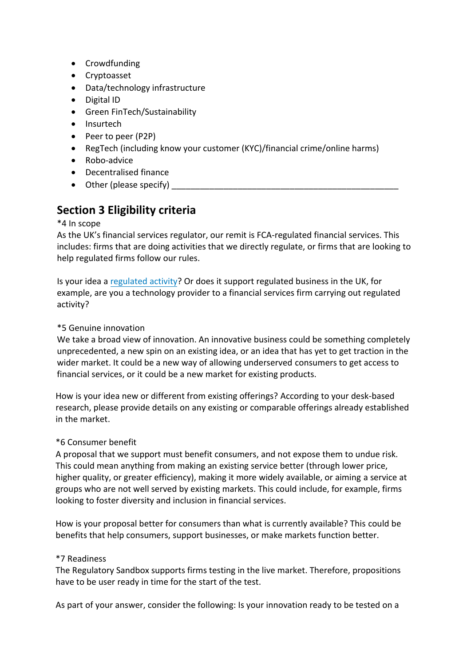- Crowdfunding
- Cryptoasset
- Data/technology infrastructure
- Digital ID
- Green FinTech/Sustainability
- Insurtech
- Peer to peer (P2P)
- RegTech (including know your customer (KYC)/financial crime/online harms)
- Robo-advice
- Decentralised finance
- Other (please specify)

# **Section 3 Eligibility criteria**

### \*4 In scope

As the UK's financial services regulator, our remit is FCA-regulated financial services. This includes: firms that are doing activities that we directly regulate, or firms that are looking to help regulated firms follow our rules.

Is your idea a [regulated activity?](https://www.fca.org.uk/firms/authorisation/how-to-apply/activities) Or does it support regulated business in the UK, for example, are you a technology provider to a financial services firm carrying out regulated activity?

### \*5 Genuine innovation

We take a broad view of innovation. An innovative business could be something completely unprecedented, a new spin on an existing idea, or an idea that has yet to get traction in the wider market. It could be a new way of allowing underserved consumers to get access to financial services, or it could be a new market for existing products.

How is your idea new or different from existing offerings? According to your desk-based research, please provide details on any existing or comparable offerings already established in the market.

## \*6 Consumer benefit

A proposal that we support must benefit consumers, and not expose them to undue risk. This could mean anything from making an existing service better (through lower price, higher quality, or greater efficiency), making it more widely available, or aiming a service at groups who are not well served by existing markets. This could include, for example, firms looking to foster diversity and inclusion in financial services.

How is your proposal better for consumers than what is currently available? This could be benefits that help consumers, support businesses, or make markets function better.

#### \*7 Readiness

The Regulatory Sandbox supports firms testing in the live market. Therefore, propositions have to be user ready in time for the start of the test.

As part of your answer, consider the following: Is your innovation ready to be tested on a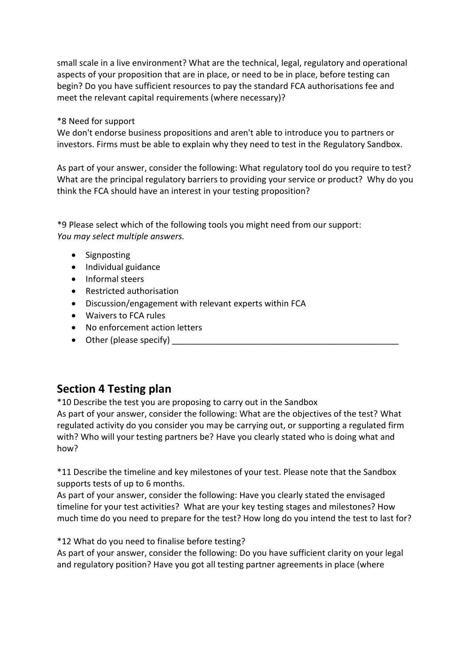small scale in a live environment? What are the technical, legal, regulatory and operational aspects of your proposition that are in place, or need to be in place, before testing can begin? Do you have sufficient resources to pay the standard FCA authorisations fee and meet the relevant capital requirements (where necessary)?

## \*8 Need for support

We don't endorse business propositions and aren't able to introduce you to partners or investors. Firms must be able to explain why they need to test in the Regulatory Sandbox.

As part of your answer, consider the following: What [regulatory tool](https://www.fca.org.uk/firms/innovation/regulatory-sandbox) do you require to test? What are the principal regulatory barriers to providing your service or product? Why do you think the FCA should have an interest in your testing proposition?

\*9 Please select which of the following tools you might need from our support: *You may select multiple answers.*

- Signposting
- Individual guidance
- Informal steers
- Restricted authorisation
- Discussion/engagement with relevant experts within FCA
- Waivers to FCA rules
- No enforcement action letters
- Other (please specify)

# **Section 4 Testing plan**

\*10 Describe the test you are proposing to carry out in the Sandbox As part of your answer, consider the following: What are the objectives of the test? What regulated activity do you consider you may be carrying out, or supporting a regulated firm with? Who will your testing partners be? Have you clearly stated who is doing what and how?

\*11 Describe the timeline and key milestones of your test. Please note that the Sandbox supports tests of up to 6 months.

As part of your answer, consider the following: Have you clearly stated the envisaged timeline for your test activities? What are your key testing stages and milestones? How much time do you need to prepare for the test? How long do you intend the test to last for?

\*12 What do you need to finalise before testing?

As part of your answer, consider the following: Do you have sufficient clarity on your legal and regulatory position? Have you got all testing partner agreements in place (where